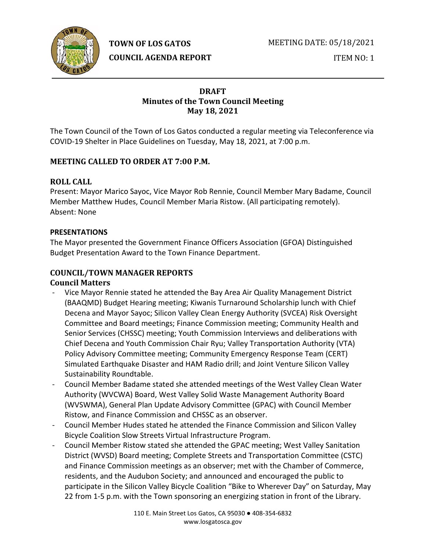

**TOWN OF LOS GATOS** 

**COUNCIL AGENDA REPORT**

MEETING DATE: 05/18/2021

ITEM NO: 1

## **DRAFT Minutes of the Town Council Meeting May 18, 2021**

The Town Council of the Town of Los Gatos conducted a regular meeting via Teleconference via COVID-19 Shelter in Place Guidelines on Tuesday, May 18, 2021, at 7:00 p.m.

# **MEETING CALLED TO ORDER AT 7:00 P.M.**

## **ROLL CALL**

Present: Mayor Marico Sayoc, Vice Mayor Rob Rennie, Council Member Mary Badame, Council Member Matthew Hudes, Council Member Maria Ristow. (All participating remotely). Absent: None

## **PRESENTATIONS**

The Mayor presented the Government Finance Officers Association (GFOA) Distinguished Budget Presentation Award to the Town Finance Department.

## **COUNCIL/TOWN MANAGER REPORTS Council Matters**

- Vice Mayor Rennie stated he attended the Bay Area Air Quality Management District (BAAQMD) Budget Hearing meeting; Kiwanis Turnaround Scholarship lunch with Chief Decena and Mayor Sayoc; Silicon Valley Clean Energy Authority (SVCEA) Risk Oversight Committee and Board meetings; Finance Commission meeting; Community Health and Senior Services (CHSSC) meeting; Youth Commission Interviews and deliberations with Chief Decena and Youth Commission Chair Ryu; Valley Transportation Authority (VTA) Policy Advisory Committee meeting; Community Emergency Response Team (CERT) Simulated Earthquake Disaster and HAM Radio drill; and Joint Venture Silicon Valley Sustainability Roundtable.
- Council Member Badame stated she attended meetings of the West Valley Clean Water Authority (WVCWA) Board, West Valley Solid Waste Management Authority Board (WVSWMA), General Plan Update Advisory Committee (GPAC) with Council Member Ristow, and Finance Commission and CHSSC as an observer.
- Council Member Hudes stated he attended the Finance Commission and Silicon Valley Bicycle Coalition Slow Streets Virtual Infrastructure Program.
- Council Member Ristow stated she attended the GPAC meeting; West Valley Sanitation District (WVSD) Board meeting; Complete Streets and Transportation Committee (CSTC) and Finance Commission meetings as an observer; met with the Chamber of Commerce, residents, and the Audubon Society; and announced and encouraged the public to participate in the Silicon Valley Bicycle Coalition "Bike to Wherever Day" on Saturday, May 22 from 1-5 p.m. with the Town sponsoring an energizing station in front of the Library.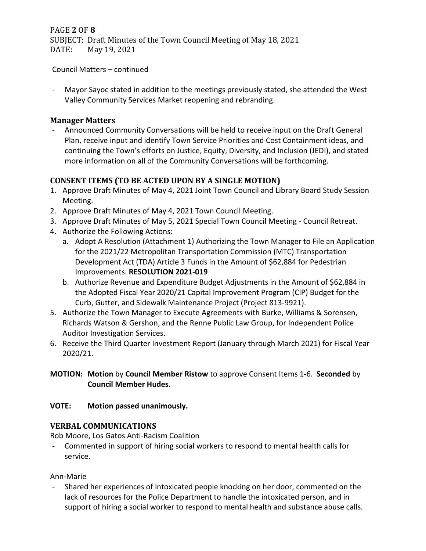PAGE **2** OF **8** SUBJECT: Draft Minutes of the Town Council Meeting of May 18, 2021<br>DATE: May 19, 2021 May 19, 2021

Council Matters – continued

- Mayor Sayoc stated in addition to the meetings previously stated, she attended the West Valley Community Services Market reopening and rebranding.

### **Manager Matters**

- Announced Community Conversations will be held to receive input on the Draft General Plan, receive input and identify Town Service Priorities and Cost Containment ideas, and continuing the Town's efforts on Justice, Equity, Diversity, and Inclusion (JEDI), and stated more information on all of the Community Conversations will be forthcoming.

# **CONSENT ITEMS (TO BE ACTED UPON BY A SINGLE MOTION)**

- 1. Approve Draft Minutes of May 4, 2021 Joint Town Council and Library Board Study Session Meeting.
- 2. Approve Draft Minutes of May 4, 2021 Town Council Meeting.
- 3. Approve Draft Minutes of May 5, 2021 Special Town Council Meeting Council Retreat.
- 4. Authorize the Following Actions:
	- a. Adopt A Resolution (Attachment 1) Authorizing the Town Manager to File an Application for the 2021/22 Metropolitan Transportation Commission (MTC) Transportation Development Act (TDA) Article 3 Funds in the Amount of \$62,884 for Pedestrian Improvements. **RESOLUTION 2021-019**
	- b. Authorize Revenue and Expenditure Budget Adjustments in the Amount of \$62,884 in the Adopted Fiscal Year 2020/21 Capital Improvement Program (CIP) Budget for the Curb, Gutter, and Sidewalk Maintenance Project (Project 813-9921).
- 5. Authorize the Town Manager to Execute Agreements with Burke, Williams & Sorensen, Richards Watson & Gershon, and the Renne Public Law Group, for Independent Police Auditor Investigation Services.
- 6. Receive the Third Quarter Investment Report (January through March 2021) for Fiscal Year 2020/21.
- **MOTION: Motion** by **Council Member Ristow** to approve Consent Items 1-6. **Seconded** by **Council Member Hudes.**

### **VOTE: Motion passed unanimously.**

### **VERBAL COMMUNICATIONS**

Rob Moore, Los Gatos Anti-Racism Coalition

- Commented in support of hiring social workers to respond to mental health calls for service.

Ann-Marie

- Shared her experiences of intoxicated people knocking on her door, commented on the lack of resources for the Police Department to handle the intoxicated person, and in support of hiring a social worker to respond to mental health and substance abuse calls.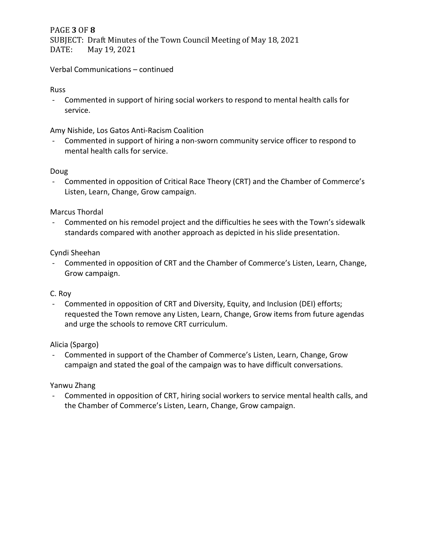PAGE **3** OF **8** SUBJECT: Draft Minutes of the Town Council Meeting of May 18, 2021<br>DATE: May 19, 2021 May 19, 2021

Verbal Communications – continued

Russ

- Commented in support of hiring social workers to respond to mental health calls for service.

Amy Nishide, Los Gatos Anti-Racism Coalition

- Commented in support of hiring a non-sworn community service officer to respond to mental health calls for service.

#### Doug

- Commented in opposition of Critical Race Theory (CRT) and the Chamber of Commerce's Listen, Learn, Change, Grow campaign.

#### Marcus Thordal

- Commented on his remodel project and the difficulties he sees with the Town's sidewalk standards compared with another approach as depicted in his slide presentation.

#### Cyndi Sheehan

- Commented in opposition of CRT and the Chamber of Commerce's Listen, Learn, Change, Grow campaign.

#### C. Roy

- Commented in opposition of CRT and Diversity, Equity, and Inclusion (DEI) efforts; requested the Town remove any Listen, Learn, Change, Grow items from future agendas and urge the schools to remove CRT curriculum.

#### Alicia (Spargo)

- Commented in support of the Chamber of Commerce's Listen, Learn, Change, Grow campaign and stated the goal of the campaign was to have difficult conversations.

#### Yanwu Zhang

- Commented in opposition of CRT, hiring social workers to service mental health calls, and the Chamber of Commerce's Listen, Learn, Change, Grow campaign.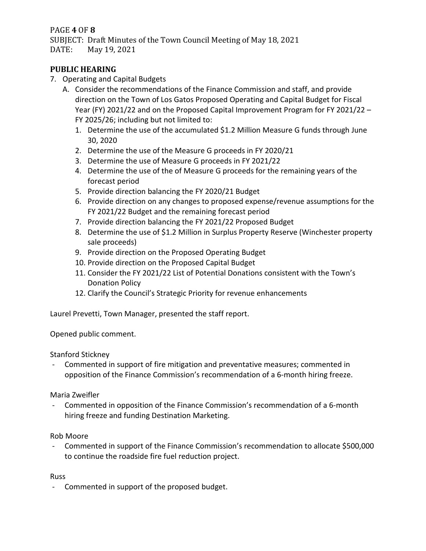## PAGE **4** OF **8**

SUBJECT: Draft Minutes of the Town Council Meeting of May 18, 2021<br>DATE: May 19, 2021 May 19, 2021

## **PUBLIC HEARING**

7. Operating and Capital Budgets

A. Consider the recommendations of the Finance Commission and staff, and provide direction on the Town of Los Gatos Proposed Operating and Capital Budget for Fiscal Year (FY) 2021/22 and on the Proposed Capital Improvement Program for FY 2021/22 – FY 2025/26; including but not limited to:

- 1. Determine the use of the accumulated \$1.2 Million Measure G funds through June 30, 2020
- 2. Determine the use of the Measure G proceeds in FY 2020/21
- 3. Determine the use of Measure G proceeds in FY 2021/22
- 4. Determine the use of the of Measure G proceeds for the remaining years of the forecast period
- 5. Provide direction balancing the FY 2020/21 Budget
- 6. Provide direction on any changes to proposed expense/revenue assumptions for the FY 2021/22 Budget and the remaining forecast period
- 7. Provide direction balancing the FY 2021/22 Proposed Budget
- 8. Determine the use of \$1.2 Million in Surplus Property Reserve (Winchester property sale proceeds)
- 9. Provide direction on the Proposed Operating Budget
- 10. Provide direction on the Proposed Capital Budget
- 11. Consider the FY 2021/22 List of Potential Donations consistent with the Town's Donation Policy
- 12. Clarify the Council's Strategic Priority for revenue enhancements

Laurel Prevetti, Town Manager, presented the staff report.

Opened public comment.

#### Stanford Stickney

- Commented in support of fire mitigation and preventative measures; commented in opposition of the Finance Commission's recommendation of a 6-month hiring freeze.

#### Maria Zweifler

- Commented in opposition of the Finance Commission's recommendation of a 6-month hiring freeze and funding Destination Marketing.

Rob Moore

- Commented in support of the Finance Commission's recommendation to allocate \$500,000 to continue the roadside fire fuel reduction project.

Russ

- Commented in support of the proposed budget.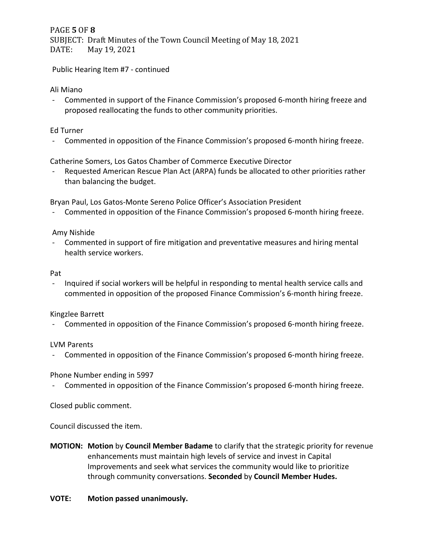PAGE **5** OF **8** SUBJECT: Draft Minutes of the Town Council Meeting of May 18, 2021<br>DATE: May 19, 2021 May 19, 2021

Public Hearing Item #7 - continued

#### Ali Miano

- Commented in support of the Finance Commission's proposed 6-month hiring freeze and proposed reallocating the funds to other community priorities.

### Ed Turner

- Commented in opposition of the Finance Commission's proposed 6-month hiring freeze.

Catherine Somers, Los Gatos Chamber of Commerce Executive Director

Requested American Rescue Plan Act (ARPA) funds be allocated to other priorities rather than balancing the budget.

Bryan Paul, Los Gatos-Monte Sereno Police Officer's Association President

- Commented in opposition of the Finance Commission's proposed 6-month hiring freeze.

#### Amy Nishide

- Commented in support of fire mitigation and preventative measures and hiring mental health service workers.

#### Pat

- Inquired if social workers will be helpful in responding to mental health service calls and commented in opposition of the proposed Finance Commission's 6-month hiring freeze.

#### Kingzlee Barrett

- Commented in opposition of the Finance Commission's proposed 6-month hiring freeze.

#### LVM Parents

- Commented in opposition of the Finance Commission's proposed 6-month hiring freeze.

### Phone Number ending in 5997

- Commented in opposition of the Finance Commission's proposed 6-month hiring freeze.

Closed public comment.

Council discussed the item.

**MOTION: Motion** by **Council Member Badame** to clarify that the strategic priority for revenue enhancements must maintain high levels of service and invest in Capital Improvements and seek what services the community would like to prioritize through community conversations. **Seconded** by **Council Member Hudes.**

#### **VOTE: Motion passed unanimously.**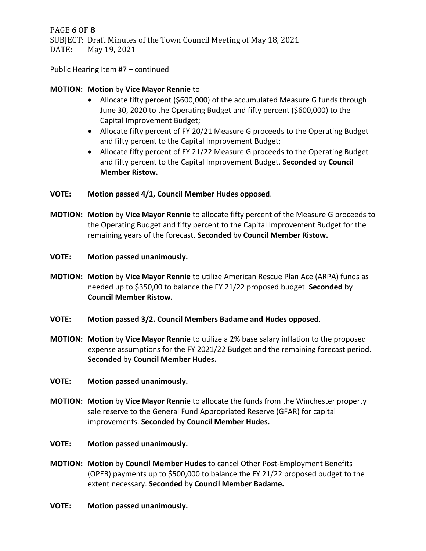PAGE **6** OF **8** SUBJECT: Draft Minutes of the Town Council Meeting of May 18, 2021 DATE: May 19, 2021

Public Hearing Item #7 – continued

#### **MOTION: Motion** by **Vice Mayor Rennie** to

- Allocate fifty percent (\$600,000) of the accumulated Measure G funds through June 30, 2020 to the Operating Budget and fifty percent (\$600,000) to the Capital Improvement Budget;
- Allocate fifty percent of FY 20/21 Measure G proceeds to the Operating Budget and fifty percent to the Capital Improvement Budget;
- Allocate fifty percent of FY 21/22 Measure G proceeds to the Operating Budget and fifty percent to the Capital Improvement Budget. **Seconded** by **Council Member Ristow.**

#### **VOTE: Motion passed 4/1, Council Member Hudes opposed**.

- **MOTION: Motion** by **Vice Mayor Rennie** to allocate fifty percent of the Measure G proceeds to the Operating Budget and fifty percent to the Capital Improvement Budget for the remaining years of the forecast. **Seconded** by **Council Member Ristow.**
- **VOTE: Motion passed unanimously.**
- **MOTION: Motion** by **Vice Mayor Rennie** to utilize American Rescue Plan Ace (ARPA) funds as needed up to \$350,00 to balance the FY 21/22 proposed budget. **Seconded** by **Council Member Ristow.**
- **VOTE: Motion passed 3/2. Council Members Badame and Hudes opposed**.
- **MOTION: Motion** by **Vice Mayor Rennie** to utilize a 2% base salary inflation to the proposed expense assumptions for the FY 2021/22 Budget and the remaining forecast period. **Seconded** by **Council Member Hudes.**
- **VOTE: Motion passed unanimously.**
- **MOTION: Motion** by **Vice Mayor Rennie** to allocate the funds from the Winchester property sale reserve to the General Fund Appropriated Reserve (GFAR) for capital improvements. **Seconded** by **Council Member Hudes.**
- **VOTE: Motion passed unanimously.**
- **MOTION: Motion** by **Council Member Hudes** to cancel Other Post-Employment Benefits (OPEB) payments up to \$500,000 to balance the FY 21/22 proposed budget to the extent necessary. **Seconded** by **Council Member Badame.**
- **VOTE: Motion passed unanimously.**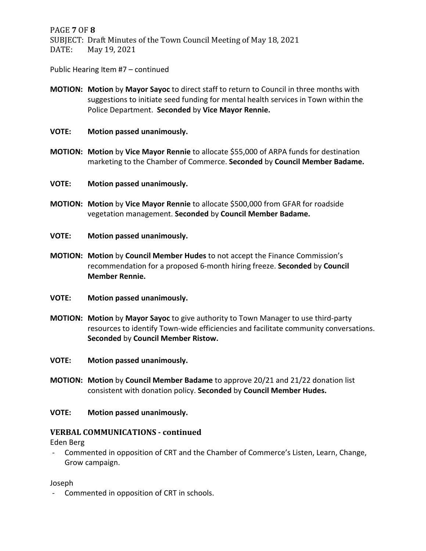PAGE **7** OF **8** SUBJECT: Draft Minutes of the Town Council Meeting of May 18, 2021 May 19, 2021

Public Hearing Item #7 – continued

- **MOTION: Motion** by **Mayor Sayoc** to direct staff to return to Council in three months with suggestions to initiate seed funding for mental health services in Town within the Police Department. **Seconded** by **Vice Mayor Rennie.**
- **VOTE: Motion passed unanimously.**
- **MOTION: Motion** by **Vice Mayor Rennie** to allocate \$55,000 of ARPA funds for destination marketing to the Chamber of Commerce. **Seconded** by **Council Member Badame.**
- **VOTE: Motion passed unanimously.**
- **MOTION: Motion** by **Vice Mayor Rennie** to allocate \$500,000 from GFAR for roadside vegetation management. **Seconded** by **Council Member Badame.**
- **VOTE: Motion passed unanimously.**
- **MOTION: Motion** by **Council Member Hudes** to not accept the Finance Commission's recommendation for a proposed 6-month hiring freeze. **Seconded** by **Council Member Rennie.**
- **VOTE: Motion passed unanimously.**
- **MOTION: Motion** by **Mayor Sayoc** to give authority to Town Manager to use third-party resources to identify Town-wide efficiencies and facilitate community conversations. **Seconded** by **Council Member Ristow.**
- **VOTE: Motion passed unanimously.**
- **MOTION: Motion** by **Council Member Badame** to approve 20/21 and 21/22 donation list consistent with donation policy. **Seconded** by **Council Member Hudes.**
- **VOTE: Motion passed unanimously.**

#### **VERBAL COMMUNICATIONS - continued**

Eden Berg

- Commented in opposition of CRT and the Chamber of Commerce's Listen, Learn, Change, Grow campaign.

Joseph

- Commented in opposition of CRT in schools.